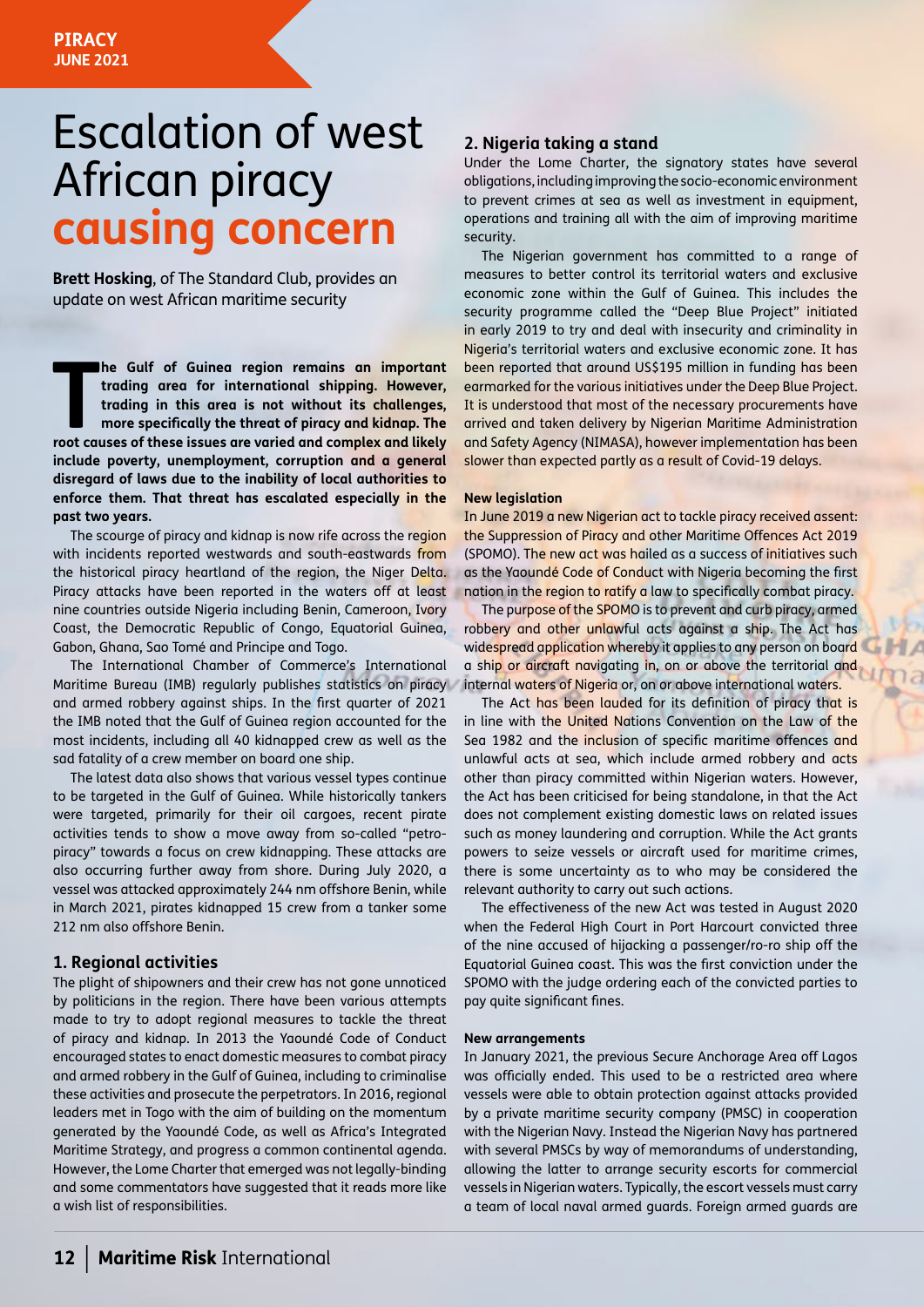# Escalation of west African piracy **causing concern**

**Brett Hosking**, of The Standard Club, provides an update on west African maritime security

**The Gulf of Guinea region remains an important trading area for international shipping. However, trading in this area is not without its challenges, more specifically the threat of piracy and kidnap. The root causes of th he Gulf of Guinea region remains an important trading area for international shipping. However, trading in this area is not without its challenges, more specifically the threat of piracy and kidnap. The include poverty, unemployment, corruption and a general disregard of laws due to the inability of local authorities to enforce them. That threat has escalated especially in the past two years.** 

The scourge of piracy and kidnap is now rife across the region with incidents reported westwards and south-eastwards from the historical piracy heartland of the region, the Niger Delta. Piracy attacks have been reported in the waters off at least nine countries outside Nigeria including Benin, Cameroon, Ivory Coast, the Democratic Republic of Congo, Equatorial Guinea, Gabon, Ghana, Sao Tomé and Principe and Togo.

The International Chamber of Commerce's International Maritime Bureau (IMB) regularly publishes statistics on piracy and armed robbery against ships. In the first quarter of 2021 the IMB noted that the Gulf of Guinea region accounted for the most incidents, including all 40 kidnapped crew as well as the sad fatality of a crew member on board one ship.

The latest data also shows that various vessel types continue to be targeted in the Gulf of Guinea. While historically tankers were targeted, primarily for their oil cargoes, recent pirate activities tends to show a move away from so-called "petropiracy" towards a focus on crew kidnapping. These attacks are also occurring further away from shore. During July 2020, a vessel was attacked approximately 244 nm offshore Benin, while in March 2021, pirates kidnapped 15 crew from a tanker some 212 nm also offshore Benin.

### **1. Regional activities**

The plight of shipowners and their crew has not gone unnoticed by politicians in the region. There have been various attempts made to try to adopt regional measures to tackle the threat of piracy and kidnap. In 2013 the Yaoundé Code of Conduct encouraged states to enact domestic measures to combat piracy and armed robbery in the Gulf of Guinea, including to criminalise these activities and prosecute the perpetrators. In 2016, regional leaders met in Togo with the aim of building on the momentum generated by the Yaoundé Code, as well as Africa's Integrated Maritime Strategy, and progress a common continental agenda. However, the Lome Charter that emerged was not legally-binding and some commentators have suggested that it reads more like a wish list of responsibilities.

## **2. Nigeria taking a stand**

Under the Lome Charter, the signatory states have several obligations, including improving the socio-economic environment to prevent crimes at sea as well as investment in equipment, operations and training all with the aim of improving maritime security.

The Nigerian government has committed to a range of measures to better control its territorial waters and exclusive economic zone within the Gulf of Guinea. This includes the security programme called the "Deep Blue Project" initiated in early 2019 to try and deal with insecurity and criminality in Nigeria's territorial waters and exclusive economic zone. It has been reported that around US\$195 million in funding has been earmarked for the various initiatives under the Deep Blue Project. It is understood that most of the necessary procurements have arrived and taken delivery by Nigerian Maritime Administration and Safety Agency (NIMASA), however implementation has been slower than expected partly as a result of Covid-19 delays.

#### **New legislation**

In June 2019 a new Nigerian act to tackle piracy received assent: the Suppression of Piracy and other Maritime Offences Act 2019 (SPOMO). The new act was hailed as a success of initiatives such as the Yaoundé Code of Conduct with Nigeria becoming the first nation in the region to ratify a law to specifically combat piracy.

The purpose of the SPOMO is to prevent and curb piracy, armed robbery and other unlawful acts against a ship. The Act has widespread application whereby it applies to any person on board a ship or aircraft navigating in, on or above the territorial and internal waters of Nigeria or, on or above international waters.

The Act has been lauded for its definition of piracy that is in line with the United Nations Convention on the Law of the Sea 1982 and the inclusion of specific maritime offences and unlawful acts at sea, which include armed robbery and acts other than piracy committed within Nigerian waters. However, the Act has been criticised for being standalone, in that the Act does not complement existing domestic laws on related issues such as money laundering and corruption. While the Act grants powers to seize vessels or aircraft used for maritime crimes, there is some uncertainty as to who may be considered the relevant authority to carry out such actions.

The effectiveness of the new Act was tested in August 2020 when the Federal High Court in Port Harcourt convicted three of the nine accused of hijacking a passenger/ro-ro ship off the Equatorial Guinea coast. This was the first conviction under the SPOMO with the judge ordering each of the convicted parties to pay quite significant fines.

#### **New arrangements**

In January 2021, the previous Secure Anchorage Area off Lagos was officially ended. This used to be a restricted area where vessels were able to obtain protection against attacks provided by a private maritime security company (PMSC) in cooperation with the Nigerian Navy. Instead the Nigerian Navy has partnered with several PMSCs by way of memorandums of understanding, allowing the latter to arrange security escorts for commercial vessels in Nigerian waters. Typically, the escort vessels must carry a team of local naval armed guards. Foreign armed guards are